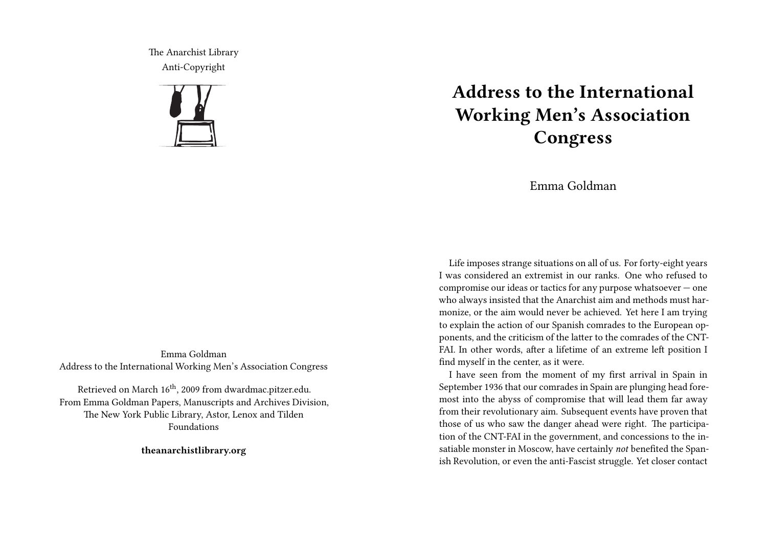The Anarchist Library Anti-Copyright



Emma Goldman Address to the International Working Men's Association Congress

Retrieved on March 16<sup>th</sup>, 2009 from dwardmac.pitzer.edu. From Emma Goldman Papers, Manuscripts and Archives Division, The New York Public Library, Astor, Lenox and Tilden Foundations

**theanarchistlibrary.org**

## **Address to the International Working Men's Association Congress**

Emma Goldman

Life imposes strange situations on all of us. For forty-eight years I was considered an extremist in our ranks. One who refused to compromise our ideas or tactics for any purpose whatsoever — one who always insisted that the Anarchist aim and methods must harmonize, or the aim would never be achieved. Yet here I am trying to explain the action of our Spanish comrades to the European opponents, and the criticism of the latter to the comrades of the CNT-FAI. In other words, after a lifetime of an extreme left position I find myself in the center, as it were.

I have seen from the moment of my first arrival in Spain in September 1936 that our comrades in Spain are plunging head foremost into the abyss of compromise that will lead them far away from their revolutionary aim. Subsequent events have proven that those of us who saw the danger ahead were right. The participation of the CNT-FAI in the government, and concessions to the insatiable monster in Moscow, have certainly *not* benefited the Spanish Revolution, or even the anti-Fascist struggle. Yet closer contact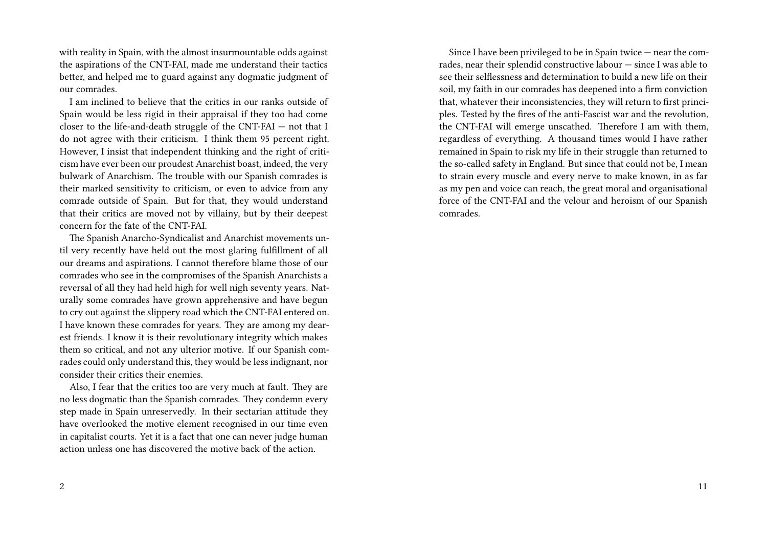with reality in Spain, with the almost insurmountable odds against the aspirations of the CNT-FAI, made me understand their tactics better, and helped me to guard against any dogmatic judgment of our comrades.

I am inclined to believe that the critics in our ranks outside of Spain would be less rigid in their appraisal if they too had come closer to the life-and-death struggle of the CNT-FAI — not that I do not agree with their criticism. I think them 95 percent right. However, I insist that independent thinking and the right of criticism have ever been our proudest Anarchist boast, indeed, the very bulwark of Anarchism. The trouble with our Spanish comrades is their marked sensitivity to criticism, or even to advice from any comrade outside of Spain. But for that, they would understand that their critics are moved not by villainy, but by their deepest concern for the fate of the CNT-FAI.

The Spanish Anarcho-Syndicalist and Anarchist movements until very recently have held out the most glaring fulfillment of all our dreams and aspirations. I cannot therefore blame those of our comrades who see in the compromises of the Spanish Anarchists a reversal of all they had held high for well nigh seventy years. Naturally some comrades have grown apprehensive and have begun to cry out against the slippery road which the CNT-FAI entered on. I have known these comrades for years. They are among my dearest friends. I know it is their revolutionary integrity which makes them so critical, and not any ulterior motive. If our Spanish comrades could only understand this, they would be less indignant, nor consider their critics their enemies.

Also, I fear that the critics too are very much at fault. They are no less dogmatic than the Spanish comrades. They condemn every step made in Spain unreservedly. In their sectarian attitude they have overlooked the motive element recognised in our time even in capitalist courts. Yet it is a fact that one can never judge human action unless one has discovered the motive back of the action.

Since I have been privileged to be in Spain twice — near the comrades, near their splendid constructive labour — since I was able to see their selflessness and determination to build a new life on their soil, my faith in our comrades has deepened into a firm conviction that, whatever their inconsistencies, they will return to first principles. Tested by the fires of the anti-Fascist war and the revolution, the CNT-FAI will emerge unscathed. Therefore I am with them, regardless of everything. A thousand times would I have rather remained in Spain to risk my life in their struggle than returned to the so-called safety in England. But since that could not be, I mean to strain every muscle and every nerve to make known, in as far as my pen and voice can reach, the great moral and organisational force of the CNT-FAI and the velour and heroism of our Spanish comrades.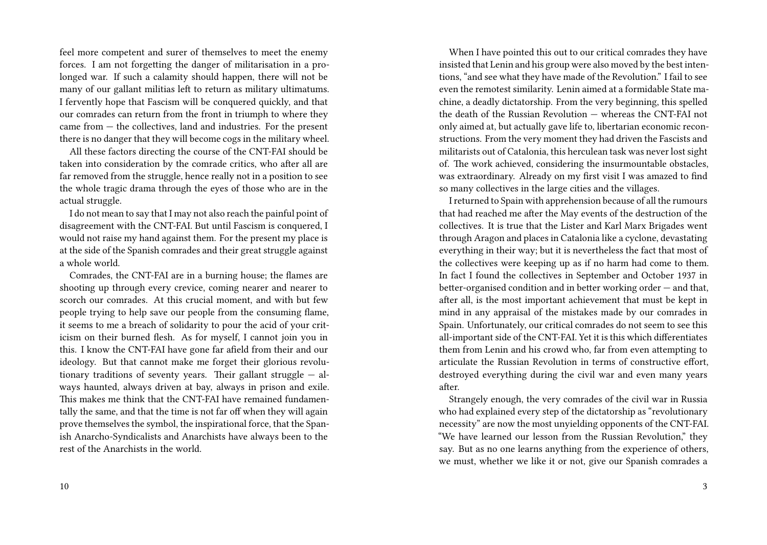feel more competent and surer of themselves to meet the enemy forces. I am not forgetting the danger of militarisation in a prolonged war. If such a calamity should happen, there will not be many of our gallant militias left to return as military ultimatums. I fervently hope that Fascism will be conquered quickly, and that our comrades can return from the front in triumph to where they came from — the collectives, land and industries. For the present there is no danger that they will become cogs in the military wheel.

All these factors directing the course of the CNT-FAI should be taken into consideration by the comrade critics, who after all are far removed from the struggle, hence really not in a position to see the whole tragic drama through the eyes of those who are in the actual struggle.

I do not mean to say that I may not also reach the painful point of disagreement with the CNT-FAI. But until Fascism is conquered, I would not raise my hand against them. For the present my place is at the side of the Spanish comrades and their great struggle against a whole world.

Comrades, the CNT-FAI are in a burning house; the flames are shooting up through every crevice, coming nearer and nearer to scorch our comrades. At this crucial moment, and with but few people trying to help save our people from the consuming flame, it seems to me a breach of solidarity to pour the acid of your criticism on their burned flesh. As for myself, I cannot join you in this. I know the CNT-FAI have gone far afield from their and our ideology. But that cannot make me forget their glorious revolutionary traditions of seventy years. Their gallant struggle  $-$  always haunted, always driven at bay, always in prison and exile. This makes me think that the CNT-FAI have remained fundamentally the same, and that the time is not far off when they will again prove themselves the symbol, the inspirational force, that the Spanish Anarcho-Syndicalists and Anarchists have always been to the rest of the Anarchists in the world.

When I have pointed this out to our critical comrades they have insisted that Lenin and his group were also moved by the best intentions, "and see what they have made of the Revolution." I fail to see even the remotest similarity. Lenin aimed at a formidable State machine, a deadly dictatorship. From the very beginning, this spelled the death of the Russian Revolution — whereas the CNT-FAI not only aimed at, but actually gave life to, libertarian economic reconstructions. From the very moment they had driven the Fascists and militarists out of Catalonia, this herculean task was never lost sight of. The work achieved, considering the insurmountable obstacles, was extraordinary. Already on my first visit I was amazed to find so many collectives in the large cities and the villages.

I returned to Spain with apprehension because of all the rumours that had reached me after the May events of the destruction of the collectives. It is true that the Lister and Karl Marx Brigades went through Aragon and places in Catalonia like a cyclone, devastating everything in their way; but it is nevertheless the fact that most of the collectives were keeping up as if no harm had come to them. In fact I found the collectives in September and October 1937 in better-organised condition and in better working order — and that, after all, is the most important achievement that must be kept in mind in any appraisal of the mistakes made by our comrades in Spain. Unfortunately, our critical comrades do not seem to see this all-important side of the CNT-FAI. Yet it is this which differentiates them from Lenin and his crowd who, far from even attempting to articulate the Russian Revolution in terms of constructive effort, destroyed everything during the civil war and even many years after.

Strangely enough, the very comrades of the civil war in Russia who had explained every step of the dictatorship as "revolutionary necessity" are now the most unyielding opponents of the CNT-FAI. "We have learned our lesson from the Russian Revolution," they say. But as no one learns anything from the experience of others, we must, whether we like it or not, give our Spanish comrades a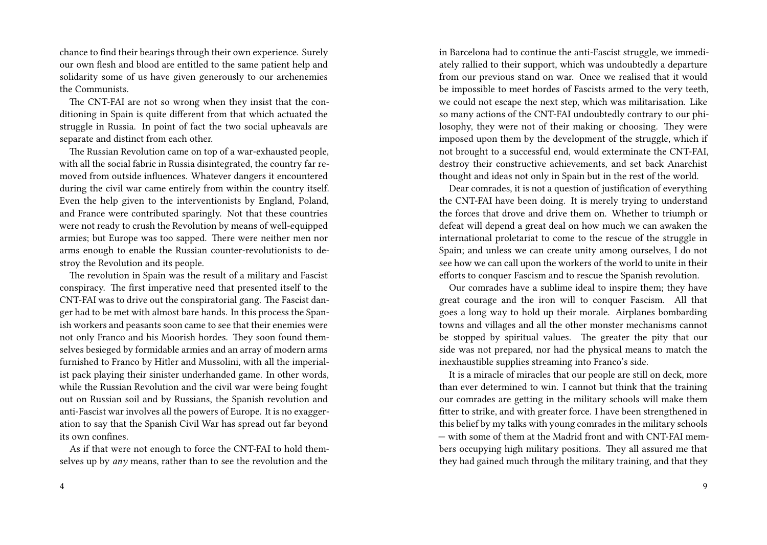chance to find their bearings through their own experience. Surely our own flesh and blood are entitled to the same patient help and solidarity some of us have given generously to our archenemies the Communists.

The CNT-FAI are not so wrong when they insist that the conditioning in Spain is quite different from that which actuated the struggle in Russia. In point of fact the two social upheavals are separate and distinct from each other.

The Russian Revolution came on top of a war-exhausted people, with all the social fabric in Russia disintegrated, the country far removed from outside influences. Whatever dangers it encountered during the civil war came entirely from within the country itself. Even the help given to the interventionists by England, Poland, and France were contributed sparingly. Not that these countries were not ready to crush the Revolution by means of well-equipped armies; but Europe was too sapped. There were neither men nor arms enough to enable the Russian counter-revolutionists to destroy the Revolution and its people.

The revolution in Spain was the result of a military and Fascist conspiracy. The first imperative need that presented itself to the CNT-FAI was to drive out the conspiratorial gang. The Fascist danger had to be met with almost bare hands. In this process the Spanish workers and peasants soon came to see that their enemies were not only Franco and his Moorish hordes. They soon found themselves besieged by formidable armies and an array of modern arms furnished to Franco by Hitler and Mussolini, with all the imperialist pack playing their sinister underhanded game. In other words, while the Russian Revolution and the civil war were being fought out on Russian soil and by Russians, the Spanish revolution and anti-Fascist war involves all the powers of Europe. It is no exaggeration to say that the Spanish Civil War has spread out far beyond its own confines.

As if that were not enough to force the CNT-FAI to hold themselves up by *any* means, rather than to see the revolution and the in Barcelona had to continue the anti-Fascist struggle, we immediately rallied to their support, which was undoubtedly a departure from our previous stand on war. Once we realised that it would be impossible to meet hordes of Fascists armed to the very teeth, we could not escape the next step, which was militarisation. Like so many actions of the CNT-FAI undoubtedly contrary to our philosophy, they were not of their making or choosing. They were imposed upon them by the development of the struggle, which if not brought to a successful end, would exterminate the CNT-FAI, destroy their constructive achievements, and set back Anarchist thought and ideas not only in Spain but in the rest of the world.

Dear comrades, it is not a question of justification of everything the CNT-FAI have been doing. It is merely trying to understand the forces that drove and drive them on. Whether to triumph or defeat will depend a great deal on how much we can awaken the international proletariat to come to the rescue of the struggle in Spain; and unless we can create unity among ourselves, I do not see how we can call upon the workers of the world to unite in their efforts to conquer Fascism and to rescue the Spanish revolution.

Our comrades have a sublime ideal to inspire them; they have great courage and the iron will to conquer Fascism. All that goes a long way to hold up their morale. Airplanes bombarding towns and villages and all the other monster mechanisms cannot be stopped by spiritual values. The greater the pity that our side was not prepared, nor had the physical means to match the inexhaustible supplies streaming into Franco's side.

It is a miracle of miracles that our people are still on deck, more than ever determined to win. I cannot but think that the training our comrades are getting in the military schools will make them fitter to strike, and with greater force. I have been strengthened in this belief by my talks with young comrades in the military schools — with some of them at the Madrid front and with CNT-FAI members occupying high military positions. They all assured me that they had gained much through the military training, and that they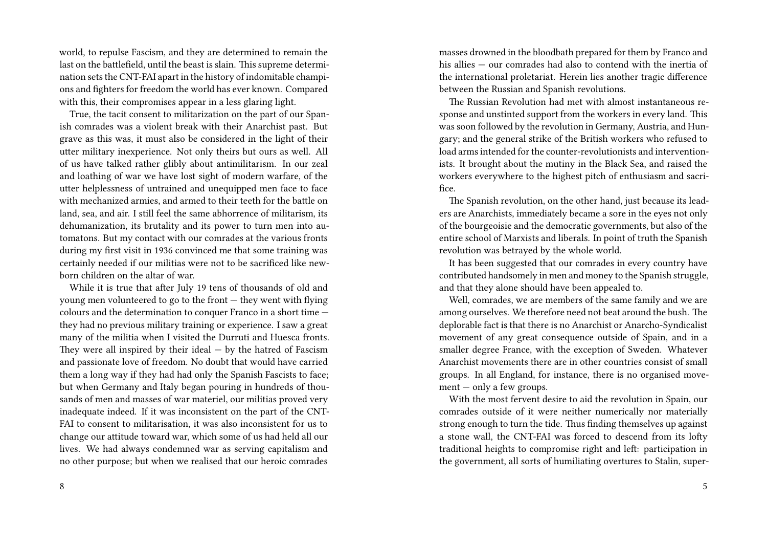world, to repulse Fascism, and they are determined to remain the last on the battlefield, until the beast is slain. This supreme determination sets the CNT-FAI apart in the history of indomitable champions and fighters for freedom the world has ever known. Compared with this, their compromises appear in a less glaring light.

True, the tacit consent to militarization on the part of our Spanish comrades was a violent break with their Anarchist past. But grave as this was, it must also be considered in the light of their utter military inexperience. Not only theirs but ours as well. All of us have talked rather glibly about antimilitarism. In our zeal and loathing of war we have lost sight of modern warfare, of the utter helplessness of untrained and unequipped men face to face with mechanized armies, and armed to their teeth for the battle on land, sea, and air. I still feel the same abhorrence of militarism, its dehumanization, its brutality and its power to turn men into automatons. But my contact with our comrades at the various fronts during my first visit in 1936 convinced me that some training was certainly needed if our militias were not to be sacrificed like newborn children on the altar of war.

While it is true that after July 19 tens of thousands of old and young men volunteered to go to the front — they went with flying colours and the determination to conquer Franco in a short time they had no previous military training or experience. I saw a great many of the militia when I visited the Durruti and Huesca fronts. They were all inspired by their ideal  $-$  by the hatred of Fascism and passionate love of freedom. No doubt that would have carried them a long way if they had had only the Spanish Fascists to face; but when Germany and Italy began pouring in hundreds of thousands of men and masses of war materiel, our militias proved very inadequate indeed. If it was inconsistent on the part of the CNT-FAI to consent to militarisation, it was also inconsistent for us to change our attitude toward war, which some of us had held all our lives. We had always condemned war as serving capitalism and no other purpose; but when we realised that our heroic comrades masses drowned in the bloodbath prepared for them by Franco and his allies — our comrades had also to contend with the inertia of the international proletariat. Herein lies another tragic difference between the Russian and Spanish revolutions.

The Russian Revolution had met with almost instantaneous response and unstinted support from the workers in every land. This was soon followed by the revolution in Germany, Austria, and Hungary; and the general strike of the British workers who refused to load arms intended for the counter-revolutionists and interventionists. It brought about the mutiny in the Black Sea, and raised the workers everywhere to the highest pitch of enthusiasm and sacrifice.

The Spanish revolution, on the other hand, just because its leaders are Anarchists, immediately became a sore in the eyes not only of the bourgeoisie and the democratic governments, but also of the entire school of Marxists and liberals. In point of truth the Spanish revolution was betrayed by the whole world.

It has been suggested that our comrades in every country have contributed handsomely in men and money to the Spanish struggle, and that they alone should have been appealed to.

Well, comrades, we are members of the same family and we are among ourselves. We therefore need not beat around the bush. The deplorable fact is that there is no Anarchist or Anarcho-Syndicalist movement of any great consequence outside of Spain, and in a smaller degree France, with the exception of Sweden. Whatever Anarchist movements there are in other countries consist of small groups. In all England, for instance, there is no organised move $ment - only a few groups.$ 

With the most fervent desire to aid the revolution in Spain, our comrades outside of it were neither numerically nor materially strong enough to turn the tide. Thus finding themselves up against a stone wall, the CNT-FAI was forced to descend from its lofty traditional heights to compromise right and left: participation in the government, all sorts of humiliating overtures to Stalin, super